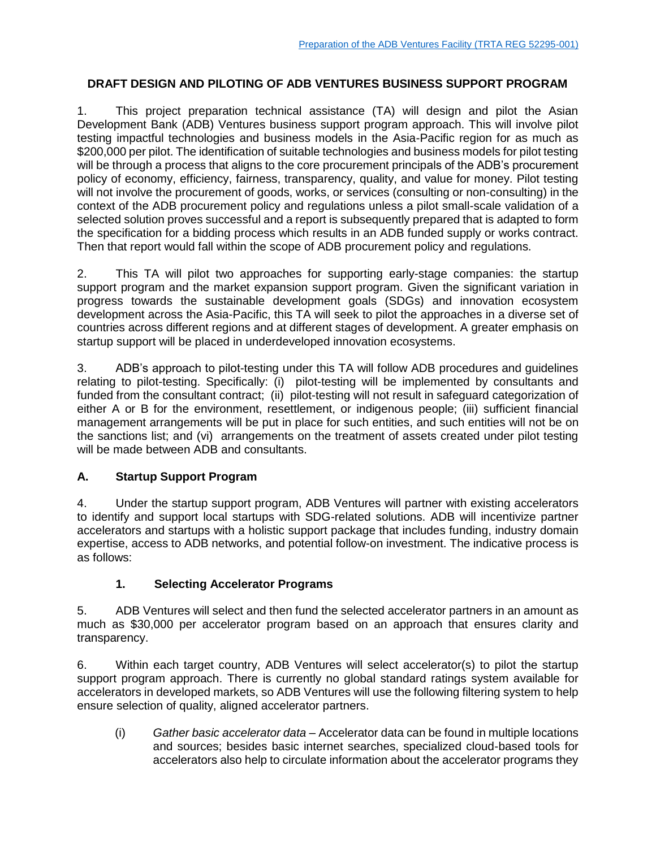#### **DRAFT DESIGN AND PILOTING OF ADB VENTURES BUSINESS SUPPORT PROGRAM**

1. This project preparation technical assistance (TA) will design and pilot the Asian Development Bank (ADB) Ventures business support program approach. This will involve pilot testing impactful technologies and business models in the Asia-Pacific region for as much as \$200,000 per pilot. The identification of suitable technologies and business models for pilot testing will be through a process that aligns to the core procurement principals of the ADB's procurement policy of economy, efficiency, fairness, transparency, quality, and value for money. Pilot testing will not involve the procurement of goods, works, or services (consulting or non-consulting) in the context of the ADB procurement policy and regulations unless a pilot small-scale validation of a selected solution proves successful and a report is subsequently prepared that is adapted to form the specification for a bidding process which results in an ADB funded supply or works contract. Then that report would fall within the scope of ADB procurement policy and regulations.

2. This TA will pilot two approaches for supporting early-stage companies: the startup support program and the market expansion support program. Given the significant variation in progress towards the sustainable development goals (SDGs) and innovation ecosystem development across the Asia-Pacific, this TA will seek to pilot the approaches in a diverse set of countries across different regions and at different stages of development. A greater emphasis on startup support will be placed in underdeveloped innovation ecosystems.

3. ADB's approach to pilot-testing under this TA will follow ADB procedures and guidelines relating to pilot-testing. Specifically: (i) pilot-testing will be implemented by consultants and funded from the consultant contract; (ii) pilot-testing will not result in safeguard categorization of either A or B for the environment, resettlement, or indigenous people; (iii) sufficient financial management arrangements will be put in place for such entities, and such entities will not be on the sanctions list; and (vi) arrangements on the treatment of assets created under pilot testing will be made between ADB and consultants.

## **A. Startup Support Program**

4. Under the startup support program, ADB Ventures will partner with existing accelerators to identify and support local startups with SDG-related solutions. ADB will incentivize partner accelerators and startups with a holistic support package that includes funding, industry domain expertise, access to ADB networks, and potential follow-on investment. The indicative process is as follows:

#### **1. Selecting Accelerator Programs**

5. ADB Ventures will select and then fund the selected accelerator partners in an amount as much as \$30,000 per accelerator program based on an approach that ensures clarity and transparency.

6. Within each target country, ADB Ventures will select accelerator(s) to pilot the startup support program approach. There is currently no global standard ratings system available for accelerators in developed markets, so ADB Ventures will use the following filtering system to help ensure selection of quality, aligned accelerator partners.

(i) *Gather basic accelerator data* – Accelerator data can be found in multiple locations and sources; besides basic internet searches, specialized cloud-based tools for accelerators also help to circulate information about the accelerator programs they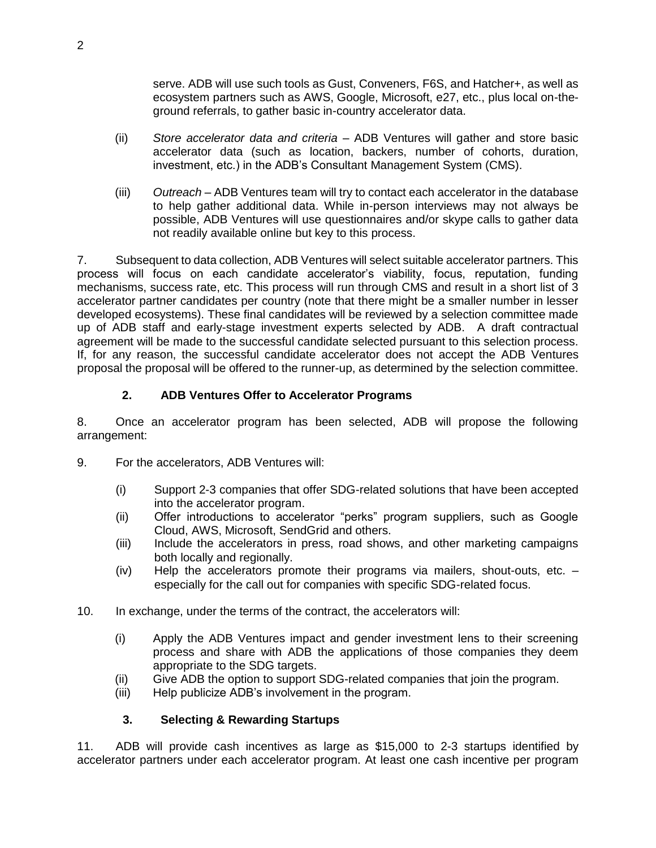serve. ADB will use such tools as Gust, Conveners, F6S, and Hatcher+, as well as ecosystem partners such as AWS, Google, Microsoft, e27, etc., plus local on-theground referrals, to gather basic in-country accelerator data.

- (ii) *Store accelerator data and criteria*  ADB Ventures will gather and store basic accelerator data (such as location, backers, number of cohorts, duration, investment, etc.) in the ADB's Consultant Management System (CMS).
- (iii) *Outreach* ADB Ventures team will try to contact each accelerator in the database to help gather additional data. While in-person interviews may not always be possible, ADB Ventures will use questionnaires and/or skype calls to gather data not readily available online but key to this process.

7. Subsequent to data collection, ADB Ventures will select suitable accelerator partners. This process will focus on each candidate accelerator's viability, focus, reputation, funding mechanisms, success rate, etc. This process will run through CMS and result in a short list of 3 accelerator partner candidates per country (note that there might be a smaller number in lesser developed ecosystems). These final candidates will be reviewed by a selection committee made up of ADB staff and early-stage investment experts selected by ADB. A draft contractual agreement will be made to the successful candidate selected pursuant to this selection process. If, for any reason, the successful candidate accelerator does not accept the ADB Ventures proposal the proposal will be offered to the runner-up, as determined by the selection committee.

## **2. ADB Ventures Offer to Accelerator Programs**

8. Once an accelerator program has been selected, ADB will propose the following arrangement:

- 9. For the accelerators, ADB Ventures will:
	- (i) Support 2-3 companies that offer SDG-related solutions that have been accepted into the accelerator program.
	- (ii) Offer introductions to accelerator "perks" program suppliers, such as Google Cloud, AWS, Microsoft, SendGrid and others.
	- (iii) Include the accelerators in press, road shows, and other marketing campaigns both locally and regionally.
	- (iv) Help the accelerators promote their programs via mailers, shout-outs, etc. especially for the call out for companies with specific SDG-related focus.
- 10. In exchange, under the terms of the contract, the accelerators will:
	- (i) Apply the ADB Ventures impact and gender investment lens to their screening process and share with ADB the applications of those companies they deem appropriate to the SDG targets.
	- (ii) Give ADB the option to support SDG-related companies that join the program.
	- (iii) Help publicize ADB's involvement in the program.

## **3. Selecting & Rewarding Startups**

11. ADB will provide cash incentives as large as \$15,000 to 2-3 startups identified by accelerator partners under each accelerator program. At least one cash incentive per program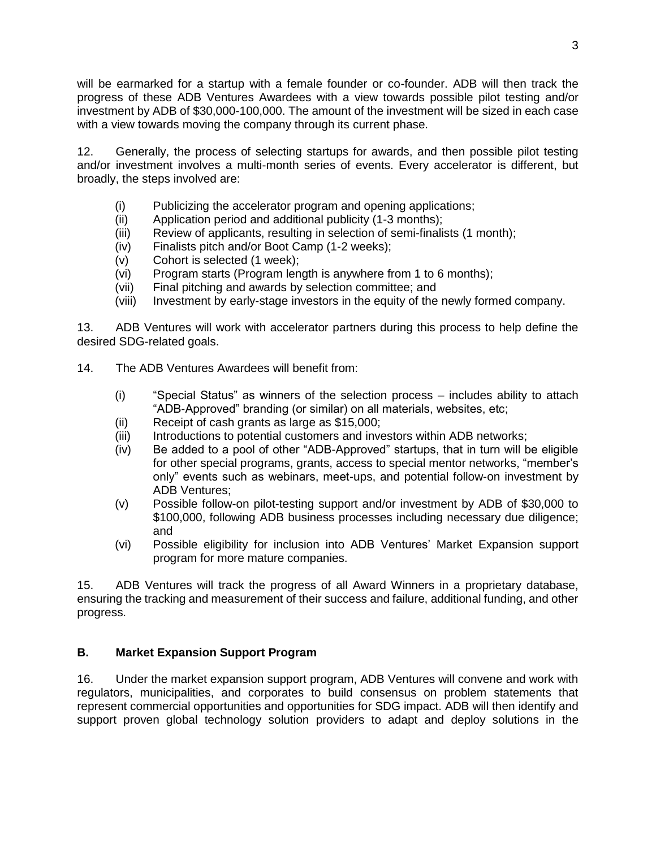will be earmarked for a startup with a female founder or co-founder. ADB will then track the progress of these ADB Ventures Awardees with a view towards possible pilot testing and/or investment by ADB of \$30,000-100,000. The amount of the investment will be sized in each case with a view towards moving the company through its current phase.

12. Generally, the process of selecting startups for awards, and then possible pilot testing and/or investment involves a multi-month series of events. Every accelerator is different, but broadly, the steps involved are:

- (i) Publicizing the accelerator program and opening applications;
- (ii) Application period and additional publicity (1-3 months);
- (iii) Review of applicants, resulting in selection of semi-finalists (1 month);
- (iv) Finalists pitch and/or Boot Camp (1-2 weeks);
- (v) Cohort is selected (1 week);
- (vi) Program starts (Program length is anywhere from 1 to 6 months);
- (vii) Final pitching and awards by selection committee; and
- (viii) Investment by early-stage investors in the equity of the newly formed company.

13. ADB Ventures will work with accelerator partners during this process to help define the desired SDG-related goals.

- 14. The ADB Ventures Awardees will benefit from:
	- (i) "Special Status" as winners of the selection process includes ability to attach "ADB-Approved" branding (or similar) on all materials, websites, etc;
	- (ii) Receipt of cash grants as large as \$15,000;
	- (iii) Introductions to potential customers and investors within ADB networks;
	- (iv) Be added to a pool of other "ADB-Approved" startups, that in turn will be eligible for other special programs, grants, access to special mentor networks, "member's only" events such as webinars, meet-ups, and potential follow-on investment by ADB Ventures;
	- (v) Possible follow-on pilot-testing support and/or investment by ADB of \$30,000 to \$100,000, following ADB business processes including necessary due diligence; and
	- (vi) Possible eligibility for inclusion into ADB Ventures' Market Expansion support program for more mature companies.

15. ADB Ventures will track the progress of all Award Winners in a proprietary database, ensuring the tracking and measurement of their success and failure, additional funding, and other progress.

#### **B. Market Expansion Support Program**

16. Under the market expansion support program, ADB Ventures will convene and work with regulators, municipalities, and corporates to build consensus on problem statements that represent commercial opportunities and opportunities for SDG impact. ADB will then identify and support proven global technology solution providers to adapt and deploy solutions in the